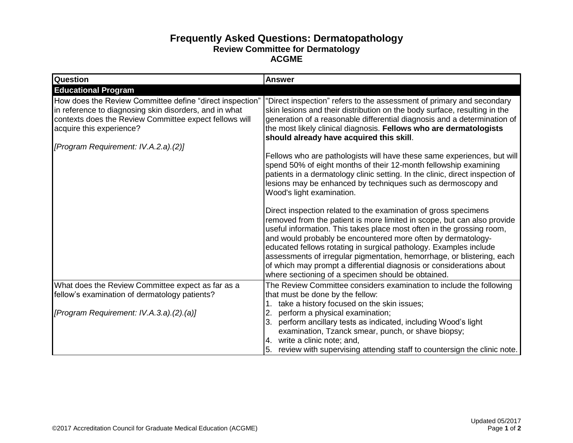## **Frequently Asked Questions: Dermatopathology Review Committee for Dermatology ACGME**

| Question                                                                                                                                                                                                 | <b>Answer</b>                                                                                                                                                                                                                                                                                                                                                                                                                                                                                                                                                    |
|----------------------------------------------------------------------------------------------------------------------------------------------------------------------------------------------------------|------------------------------------------------------------------------------------------------------------------------------------------------------------------------------------------------------------------------------------------------------------------------------------------------------------------------------------------------------------------------------------------------------------------------------------------------------------------------------------------------------------------------------------------------------------------|
| <b>Educational Program</b>                                                                                                                                                                               |                                                                                                                                                                                                                                                                                                                                                                                                                                                                                                                                                                  |
| How does the Review Committee define "direct inspection"<br>in reference to diagnosing skin disorders, and in what<br>contexts does the Review Committee expect fellows will<br>acquire this experience? | "Direct inspection" refers to the assessment of primary and secondary<br>skin lesions and their distribution on the body surface, resulting in the<br>generation of a reasonable differential diagnosis and a determination of<br>the most likely clinical diagnosis. Fellows who are dermatologists<br>should already have acquired this skill.                                                                                                                                                                                                                 |
| [Program Requirement: IV.A.2.a).(2)]                                                                                                                                                                     |                                                                                                                                                                                                                                                                                                                                                                                                                                                                                                                                                                  |
|                                                                                                                                                                                                          | Fellows who are pathologists will have these same experiences, but will<br>spend 50% of eight months of their 12-month fellowship examining<br>patients in a dermatology clinic setting. In the clinic, direct inspection of<br>lesions may be enhanced by techniques such as dermoscopy and<br>Wood's light examination.                                                                                                                                                                                                                                        |
|                                                                                                                                                                                                          | Direct inspection related to the examination of gross specimens<br>removed from the patient is more limited in scope, but can also provide<br>useful information. This takes place most often in the grossing room,<br>and would probably be encountered more often by dermatology-<br>educated fellows rotating in surgical pathology. Examples include<br>assessments of irregular pigmentation, hemorrhage, or blistering, each<br>of which may prompt a differential diagnosis or considerations about<br>where sectioning of a specimen should be obtained. |
| What does the Review Committee expect as far as a                                                                                                                                                        | The Review Committee considers examination to include the following                                                                                                                                                                                                                                                                                                                                                                                                                                                                                              |
| fellow's examination of dermatology patients?                                                                                                                                                            | that must be done by the fellow:                                                                                                                                                                                                                                                                                                                                                                                                                                                                                                                                 |
|                                                                                                                                                                                                          | take a history focused on the skin issues;                                                                                                                                                                                                                                                                                                                                                                                                                                                                                                                       |
| [Program Requirement: IV.A.3.a).(2).(a)]                                                                                                                                                                 | 2.<br>perform a physical examination;<br>perform ancillary tests as indicated, including Wood's light<br>examination, Tzanck smear, punch, or shave biopsy;<br>4. write a clinic note; and,<br>review with supervising attending staff to countersign the clinic note.                                                                                                                                                                                                                                                                                           |